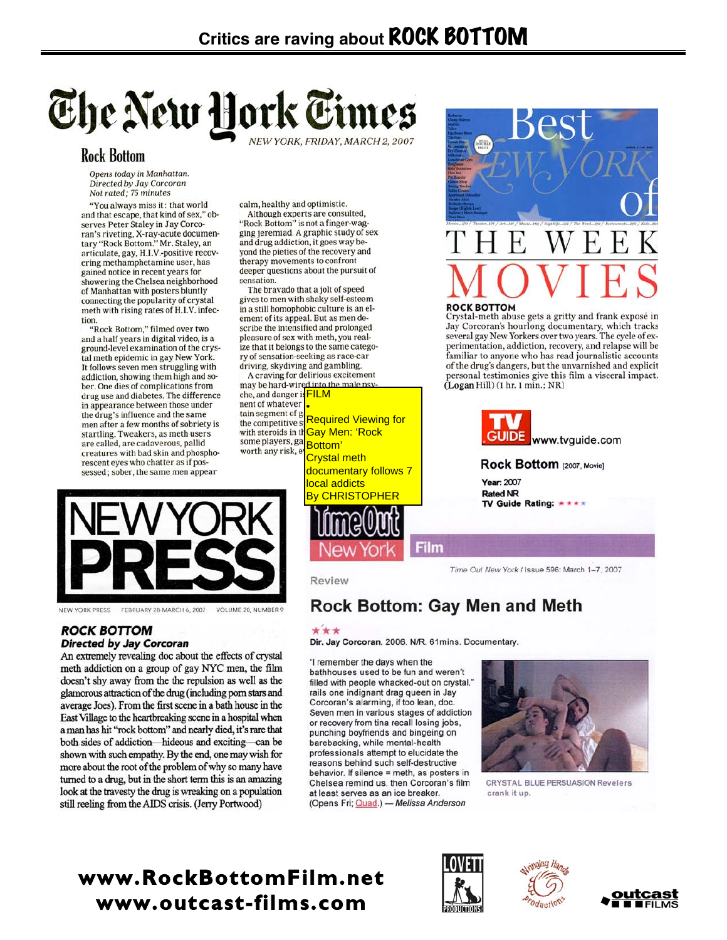# The New Hork Times

EW YORK, FRIDAY, MARCH 2, 2007

## **Rock Bottom**

Opens today in Manhattan. Directed by Jay Corcoran Not rated: 75 minutes

"You always miss it: that world and that escape, that kind of sex," observes Peter Staley in Jay Corcoserves in exercise when the process of the serves of the state of the star and "Rock Bottom." Mr. Staley, an articulate, gay, H.I.V.-positive recovering methamphetamine user, has gained notice in recent years for showering the Chelsea neighborhood of Manhattan with posters bluntly connecting the popularity of crystal meth with rising rates of H.I.V. infection

"Rock Bottom," filmed over two and a half years in digital video, is a ground-level examination of the crystal meth epidemic in gay New York. It follows seven men struggling with addiction, showing them high and socalm, healthy and optimistic. Although experts are consulted, "Rock Bottom" is not a finger-wagging jeremiad. A graphic study of sex and drug addiction, it goes way beyond the pieties of the recovery and therapy movements to confront deeper questions about the pursuit of sensation.

The bravado that a jolt of speed<br>gives to men with shaky self-esteem in a still homophobic culture is an element of its appeal. But as men describe the intensified and prolonged pleasure of sex with meth, you realize that it belongs to the same category of sensation-seeking as race-car driving, skydiving and gambling.

A craving for delirious excitement • Required Viewing for with steroids in th**Gay Men: 'Rock** Bottom'

Crystal meth documentary follows 7 local addicts



self-righteous rallying Dook Dotto Drugs been

ubiquitous catch phrase "I remember the days when the

rails one indignant drag queen in Jay Corcoran's alarming, if too lean, doc.

punching boyfriends and bingeing on barebacking, while mental-health professionals attempt to elucidate the<br>reasons behind such self-destructive behavior. If silence  $=$  meth, as posters in Chelsea remind us, then Corcoran's film at least serves as an ice breaker. (Opens Fri; Quad.) - Melissa Anderson

Review

 $\star \star \star$ 



Crystal-meth abuse gets a gritty and frank exposé in Jay Corcoran's hourlong documentary, which tracks several gav New Yorkers over two years. The cycle of experimentation, addiction, recovery, and relapse will be familiar to anyone who has read journalistic accounts of the drug's dangers, but the unvarnished and explicit personal testimonies give this film a visceral impact. (Logan Hill) (1 hr. 1 min.; NR)



Rock Bottom [2007, Movie]

Year: 2007 **Rated NR** TV Guide Rating: ★ ★ ★ ★

Time Out New York / Issue 596: March 1-7, 2007



drag use and diabets. The difference<br>
in appearance between those under<br>
the drug is induced and the same the same that of the angeles are the mental of the competitive's Require<br>
the drug is influence and the same buses i



CRYSTAL BLUE PERSUASION Revelers crank it up.

### www.RockBottomFilm.net **www.outcast-films.com** abuse  $\mathbb{A}$ um.net i.com





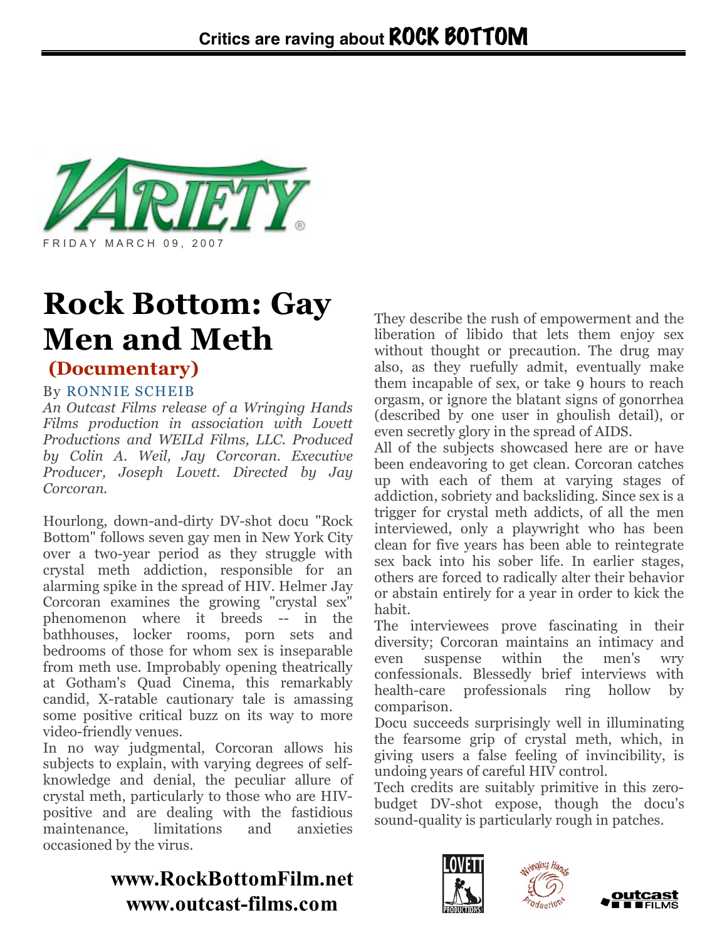

## **Rock Bottom: Gay Men and Meth**

## **(Documentary)**

## By RONNIE SCHEIB

*An Outcast Films release of a Wringing Hands Films production in association with Lovett Productions and WEILd Films, LLC. Produced by Colin A. Weil, Jay Corcoran. Executive Producer, Joseph Lovett. Directed by Jay Corcoran.*

Hourlong, down-and-dirty DV-shot docu "Rock Bottom" follows seven gay men in New York City over a two-year period as they struggle with crystal meth addiction, responsible for an alarming spike in the spread of HIV. Helmer Jay Corcoran examines the growing "crystal sex" phenomenon where it breeds -- in the bathhouses, locker rooms, porn sets and bedrooms of those for whom sex is inseparable from meth use. Improbably opening theatrically at Gotham's Quad Cinema, this remarkably candid, X-ratable cautionary tale is amassing some positive critical buzz on its way to more video-friendly venues.

In no way judgmental, Corcoran allows his subjects to explain, with varying degrees of selfknowledge and denial, the peculiar allure of crystal meth, particularly to those who are HIVpositive and are dealing with the fastidious maintenance, limitations and anxieties occasioned by the virus.

> **www.RockBottomFilm.net www.outcast-films.com**

They describe the rush of empowerment and the liberation of libido that lets them enjoy sex without thought or precaution. The drug may also, as they ruefully admit, eventually make them incapable of sex, or take 9 hours to reach orgasm, or ignore the blatant signs of gonorrhea (described by one user in ghoulish detail), or even secretly glory in the spread of AIDS.

All of the subjects showcased here are or have been endeavoring to get clean. Corcoran catches up with each of them at varying stages of addiction, sobriety and backsliding. Since sex is a trigger for crystal meth addicts, of all the men interviewed, only a playwright who has been clean for five years has been able to reintegrate sex back into his sober life. In earlier stages, others are forced to radically alter their behavior or abstain entirely for a year in order to kick the habit.

The interviewees prove fascinating in their diversity; Corcoran maintains an intimacy and even suspense within the men's wry confessionals. Blessedly brief interviews with health-care professionals ring hollow by comparison.

Docu succeeds surprisingly well in illuminating the fearsome grip of crystal meth, which, in giving users a false feeling of invincibility, is undoing years of careful HIV control.

Tech credits are suitably primitive in this zerobudget DV-shot expose, though the docu's sound-quality is particularly rough in patches.





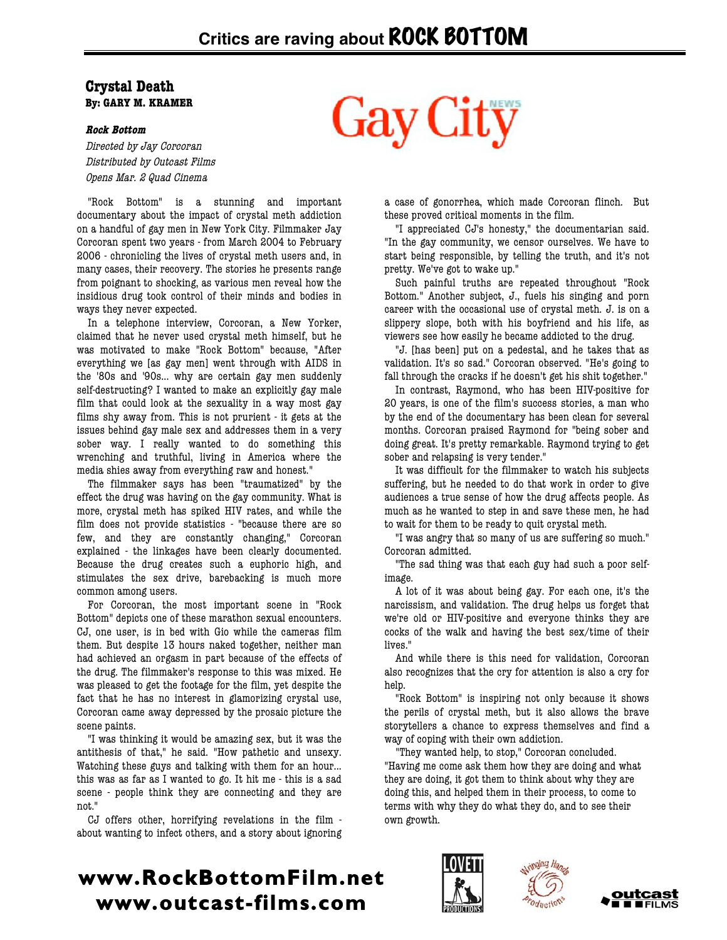**Gay City** 

## **Crystal Death By: GARY M. KRAMER**

#### **Rock Bottom**

Directed by Jay Corcoran Distributed by Outcast Films Opens Mar. 2 Quad Cinema

"Rock Bottom" is a stunning and important documentary about the impact of crystal meth addiction on a handful of gay men in New York City. Filmmaker Jay Corcoran spent two years - from March 2004 to February 2006 - chronicling the lives of crystal meth users and, in many cases, their recovery. The stories he presents range from poignant to shocking, as various men reveal how the insidious drug took control of their minds and bodies in ways they never expected.

In a telephone interview, Corcoran, a New Yorker, claimed that he never used crystal meth himself, but he was motivated to make "Rock Bottom" because, "After everything we [as gay men] went through with AIDS in the '80s and '90s... why are certain gay men suddenly self-destructing? I wanted to make an explicitly gay male film that could look at the sexuality in a way most gay films shy away from. This is not prurient - it gets at the issues behind gay male sex and addresses them in a very sober way. I really wanted to do something this wrenching and truthful, living in America where the media shies away from everything raw and honest."

The filmmaker says has been "traumatized" by the effect the drug was having on the gay community. What is more, crystal meth has spiked HIV rates, and while the film does not provide statistics - "because there are so few, and they are constantly changing," Corcoran explained - the linkages have been clearly documented. Because the drug creates such a euphoric high, and stimulates the sex drive, barebacking is much more common among users.

For Corcoran, the most important scene in "Rock Bottom" depicts one of these marathon sexual encounters. CJ, one user, is in bed with Gio while the cameras film them. But despite 13 hours naked together, neither man had achieved an orgasm in part because of the effects of the drug. The filmmaker's response to this was mixed. He was pleased to get the footage for the film, yet despite the fact that he has no interest in glamorizing crystal use, Corcoran came away depressed by the prosaic picture the scene paints.

"I was thinking it would be amazing sex, but it was the antithesis of that," he said. "How pathetic and unsexy. Watching these guys and talking with them for an hour... this was as far as I wanted to go. It hit me - this is a sad scene - people think they are connecting and they are not."

CJ offers other, horrifying revelations in the film about wanting to infect others, and a story about ignoring a case of gonorrhea, which made Corcoran flinch. But these proved critical moments in the film.

"I appreciated CJ's honesty," the documentarian said. "In the gay community, we censor ourselves. We have to start being responsible, by telling the truth, and it's not pretty. We've got to wake up."

Such painful truths are repeated throughout "Rock Bottom." Another subject, J., fuels his singing and porn career with the occasional use of crystal meth. J. is on a slippery slope, both with his boyfriend and his life, as viewers see how easily he became addicted to the drug.

"J. [has been] put on a pedestal, and he takes that as validation. It's so sad." Corcoran observed. "He's going to fall through the cracks if he doesn't get his shit together."

In contrast, Raymond, who has been HIV-positive for 20 years, is one of the film's success stories, a man who by the end of the documentary has been clean for several months. Corcoran praised Raymond for "being sober and doing great. It's pretty remarkable. Raymond trying to get sober and relapsing is very tender."

It was difficult for the filmmaker to watch his subjects suffering, but he needed to do that work in order to give audiences a true sense of how the drug affects people. As much as he wanted to step in and save these men, he had to wait for them to be ready to quit crystal meth.

"I was angry that so many of us are suffering so much." Corcoran admitted.

"The sad thing was that each guy had such a poor selfimage.

A lot of it was about being gay. For each one, it's the narcissism, and validation. The drug helps us forget that we're old or HIV-positive and everyone thinks they are cocks of the walk and having the best sex/time of their lives."

And while there is this need for validation, Corcoran also recognizes that the cry for attention is also a cry for help.

"Rock Bottom" is inspiring not only because it shows the perils of crystal meth, but it also allows the brave storytellers a chance to express themselves and find a way of coping with their own addiction.

"They wanted help, to stop," Corcoran concluded. "Having me come ask them how they are doing and what they are doing, it got them to think about why they are doing this, and helped them in their process, to come to terms with why they do what they do, and to see their own growth.

## **www.RockBottomFilm.net www.outcast-films.com**





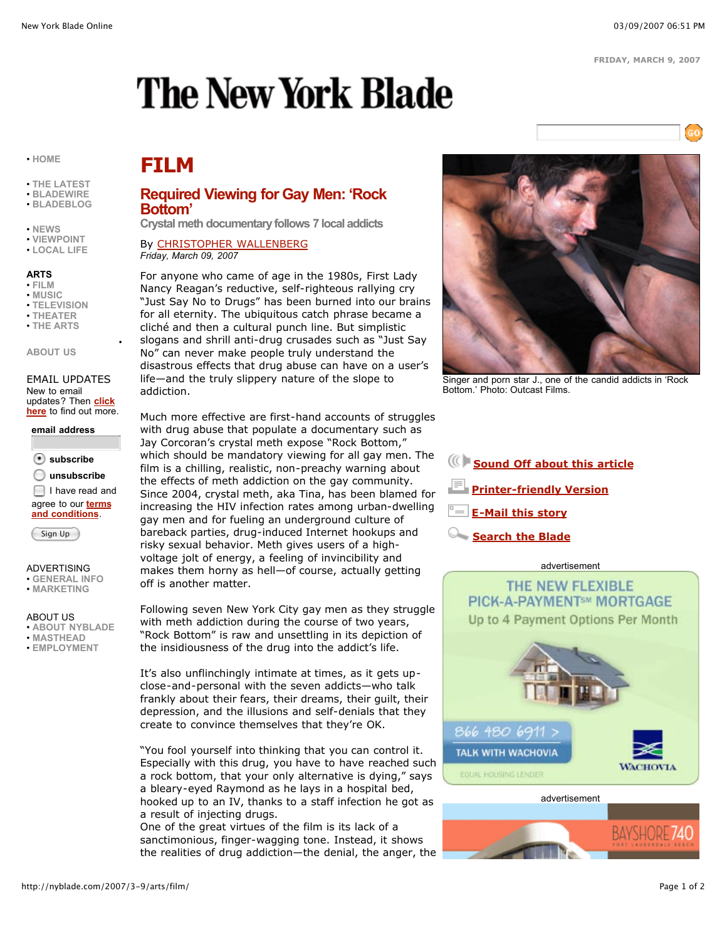## **The New York Blade**

• **HOME**

- **THE LATEST**
- **BLADEWIRE**
- **BLADEBLOG**
- **NEWS**
- **VIEWPOINT**
- **LOCAL LIFE**

## **ARTS**

### • **FILM**

- **MUSIC**
- **TELEVISION**
- **THEATER**
- **THE ARTS**

**ABOUT US**

EMAIL UPDATES New to email updates? Then **click here** to find out more.

•





### ADVERTISING

• **GENERAL INFO** • **MARKETING**

#### ABOUT US

• **ABOUT NYBLADE** • **MASTHEAD**

• **EMPLOYMENT**

## **FILM**

## **Required Viewing for Gay Men: 'Rock Bottom'**

**Crystal meth documentary follows 7 local addicts**

By CHRISTOPHER WALLENBERG *Friday, March 09, 2007*

For anyone who came of age in the 1980s, First Lady Nancy Reagan's reductive, self-righteous rallying cry "Just Say No to Drugs" has been burned into our brains for all eternity. The ubiquitous catch phrase became a cliché and then a cultural punch line. But simplistic slogans and shrill anti-drug crusades such as "Just Say No" can never make people truly understand the disastrous effects that drug abuse can have on a user's life—and the truly slippery nature of the slope to addiction.

Much more effective are first-hand accounts of struggles with drug abuse that populate a documentary such as Jay Corcoran's crystal meth expose "Rock Bottom," which should be mandatory viewing for all gay men. The film is a chilling, realistic, non-preachy warning about the effects of meth addiction on the gay community. Since 2004, crystal meth, aka Tina, has been blamed for increasing the HIV infection rates among urban-dwelling gay men and for fueling an underground culture of bareback parties, drug-induced Internet hookups and risky sexual behavior. Meth gives users of a highvoltage jolt of energy, a feeling of invincibility and makes them horny as hell—of course, actually getting off is another matter.

Following seven New York City gay men as they struggle with meth addiction during the course of two years, "Rock Bottom" is raw and unsettling in its depiction of the insidiousness of the drug into the addict's life.

It's also unflinchingly intimate at times, as it gets upclose-and-personal with the seven addicts—who talk frankly about their fears, their dreams, their guilt, their depression, and the illusions and self-denials that they create to convince themselves that they're OK.

"You fool yourself into thinking that you can control it. Especially with this drug, you have to have reached such a rock bottom, that your only alternative is dying," says a bleary-eyed Raymond as he lays in a hospital bed, hooked up to an IV, thanks to a staff infection he got as a result of injecting drugs.

One of the great virtues of the film is its lack of a sanctimonious, finger-wagging tone. Instead, it shows the realities of drug addiction—the denial, the anger, the



Singer and porn star J., one of the candid addicts in 'Rock Bottom.' Photo: Outcast Films.

| <b>Sound Off about this article</b> |
|-------------------------------------|
| <b>Printer-friendly Version</b>     |
| <b>E-Mail this story</b>            |
| <b>Search the Blade</b>             |